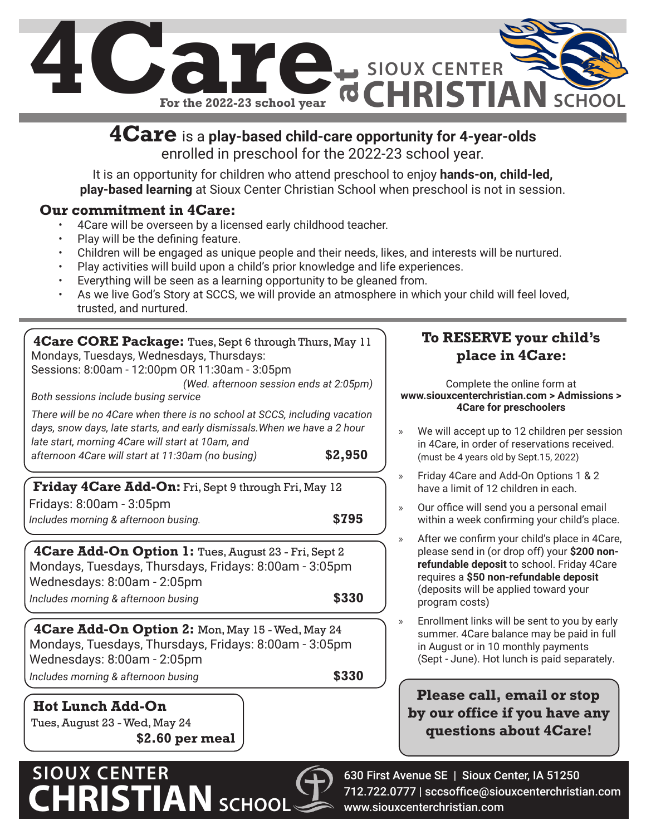

### **4Care** is a **play-based child-care opportunity for 4-year-olds**  enrolled in preschool for the 2022-23 school year.

It is an opportunity for children who attend preschool to enjoy **hands-on, child-led, play-based learning** at Sioux Center Christian School when preschool is not in session.

### **Our commitment in 4Care:**

- 4Care will be overseen by a licensed early childhood teacher.
- Play will be the defining feature.
- Children will be engaged as unique people and their needs, likes, and interests will be nurtured.
- Play activities will build upon a child's prior knowledge and life experiences.
- Everything will be seen as a learning opportunity to be gleaned from.
- As we live God's Story at SCCS, we will provide an atmosphere in which your child will feel loved, trusted, and nurtured.

**4Care CORE Package:** Tues, Sept 6 through Thurs, May 11 Mondays, Tuesdays, Wednesdays, Thursdays: Sessions: 8:00am - 12:00pm OR 11:30am - 3:05pm *(Wed. afternoon session ends at 2:05pm) Both sessions include busing service There will be no 4Care when there is no school at SCCS, including vacation days, snow days, late starts, and early dismissals.When we have a 2 hour late start, morning 4Care will start at 10am, and afternoon 4Care will start at 11:30am (no busing)* **\$2,950**

**Friday 4Care Add-On:** Fri, Sept 9 through Fri, May 12 Fridays: 8:00am - 3:05pm *Includes morning & afternoon busing.* **\$795**

**4Care Add-On Option 1:** Tues, August 23 - Fri, Sept 2 Mondays, Tuesdays, Thursdays, Fridays: 8:00am - 3:05pm Wednesdays: 8:00am - 2:05pm

*Includes morning & afternoon busing* **\$330**

**4Care Add-On Option 2:** Mon, May 15 - Wed, May 24 Mondays, Tuesdays, Thursdays, Fridays: 8:00am - 3:05pm Wednesdays: 8:00am - 2:05pm *Includes morning & afternoon busing* **\$330**

**Hot Lunch Add-On**  Tues, August 23 - Wed, May 24 **\$2.60 per meal**

# **SIOUX CENTER CHRISTIANSCHOOL**



» Enrollment links will be sent to you by early summer. 4Care balance may be paid in full in August or in 10 monthly payments (Sept - June). Hot lunch is paid separately.

**Please call, email or stop by our office if you have any questions about 4Care!**

630 First Avenue SE | Sioux Center, IA 51250 712.722.0777 | sccsoffice@siouxcenterchristian.com www.siouxcenterchristian.com

## **To RESERVE your child's place in 4Care:**

Complete the online form at **www.siouxcenterchristian.com > Admissions > 4Care for preschoolers**

We will accept up to 12 children per session in 4Care, in order of reservations received. (must be 4 years old by Sept.15, 2022)

- » Friday 4Care and Add-On Options 1 & 2 have a limit of 12 children in each.
- » Our office will send you a personal email within a week confirming your child's place.
- » After we confirm your child's place in 4Care, please send in (or drop off) your **\$200 nonrefundable deposit** to school. Friday 4Care requires a **\$50 non-refundable deposit**  (deposits will be applied toward your